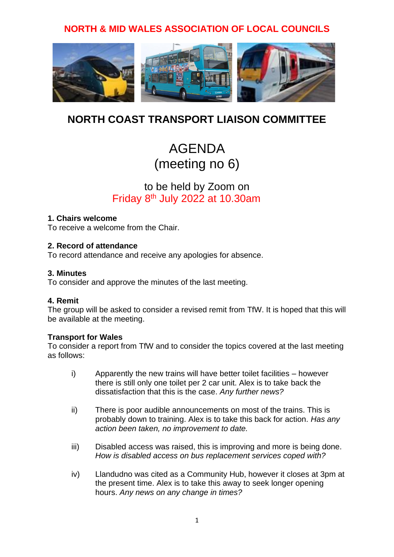### **NORTH & MID WALES ASSOCIATION OF LOCAL COUNCILS**



# **NORTH COAST TRANSPORT LIAISON COMMITTEE**

# AGENDA (meeting no 6)

### to be held by Zoom on Eriday 8<sup>th</sup> July 2022 at 10.30am

### **1. Chairs welcome**

To receive a welcome from the Chair.

### **2. Record of attendance**

To record attendance and receive any apologies for absence.

#### **3. Minutes**

To consider and approve the minutes of the last meeting.

### **4. Remit**

The group will be asked to consider a revised remit from TfW. It is hoped that this will be available at the meeting.

#### **Transport for Wales**

To consider a report from TfW and to consider the topics covered at the last meeting as follows:

- i) Apparently the new trains will have better toilet facilities however there is still only one toilet per 2 car unit. Alex is to take back the dissatisfaction that this is the case. *Any further news?*
- ii) There is poor audible announcements on most of the trains. This is probably down to training. Alex is to take this back for action. *Has any action been taken, no improvement to date.*
- iii) Disabled access was raised, this is improving and more is being done. *How is disabled access on bus replacement services coped with?*
- iv) Llandudno was cited as a Community Hub, however it closes at 3pm at the present time. Alex is to take this away to seek longer opening hours. *Any news on any change in times?*